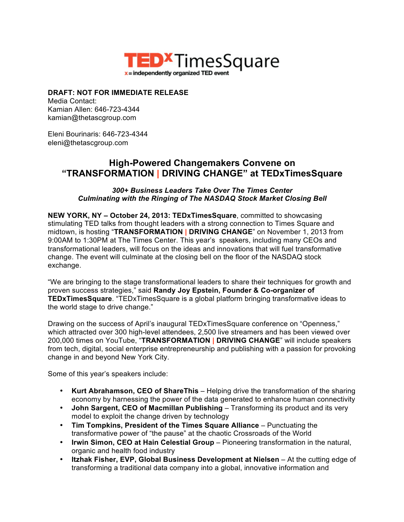

## **DRAFT: NOT FOR IMMEDIATE RELEASE**

Media Contact: Kamian Allen: 646-723-4344 kamian@thetascgroup.com

Eleni Bourinaris: 646-723-4344 eleni@thetascgroup.com

## **High-Powered Changemakers Convene on "TRANSFORMATION | DRIVING CHANGE" at TEDxTimesSquare**

*300+ Business Leaders Take Over The Times Center Culminating with the Ringing of The NASDAQ Stock Market Closing Bell*

**NEW YORK, NY – October 24, 2013: TEDxTimesSquare**, committed to showcasing stimulating TED talks from thought leaders with a strong connection to Times Square and midtown, is hosting "**TRANSFORMATION | DRIVING CHANGE**" on November 1, 2013 from 9:00AM to 1:30PM at The Times Center. This year's speakers, including many CEOs and transformational leaders, will focus on the ideas and innovations that will fuel transformative change. The event will culminate at the closing bell on the floor of the NASDAQ stock exchange.

"We are bringing to the stage transformational leaders to share their techniques for growth and proven success strategies," said **Randy Joy Epstein, Founder & Co-organizer of TEDxTimesSquare**. "TEDxTimesSquare is a global platform bringing transformative ideas to the world stage to drive change."

Drawing on the success of April's inaugural TEDxTimesSquare conference on "Openness," which attracted over 300 high-level attendees, 2,500 live streamers and has been viewed over 200,000 times on YouTube, "**TRANSFORMATION | DRIVING CHANGE**" will include speakers from tech, digital, social enterprise entrepreneurship and publishing with a passion for provoking change in and beyond New York City.

Some of this year's speakers include:

- **Kurt Abrahamson, CEO of ShareThis**  Helping drive the transformation of the sharing economy by harnessing the power of the data generated to enhance human connectivity
- John Sargent, CEO of Macmillan Publishing Transforming its product and its very model to exploit the change driven by technology
- **Tim Tompkins, President of the Times Square Alliance**  Punctuating the transformative power of "the pause" at the chaotic Crossroads of the World
- **Irwin Simon, CEO at Hain Celestial Group**  Pioneering transformation in the natural, organic and health food industry
- **Itzhak Fisher, EVP, Global Business Development at Nielsen** At the cutting edge of transforming a traditional data company into a global, innovative information and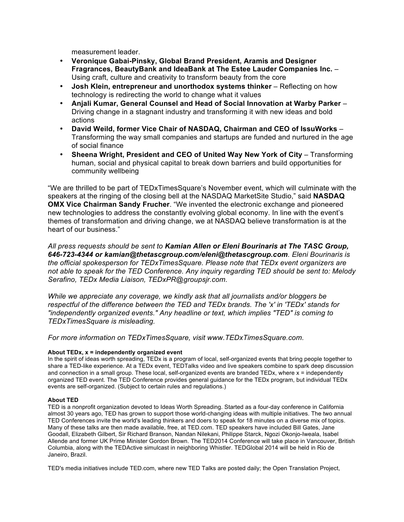measurement leader.

- **Veronique Gabai-Pinsky, Global Brand President, Aramis and Designer Fragrances, BeautyBank and IdeaBank at The Estee Lauder Companies Inc.** – Using craft, culture and creativity to transform beauty from the core
- Josh Klein, entrepreneur and unorthodox systems thinker Reflecting on how technology is redirecting the world to change what it values
- **Anjali Kumar, General Counsel and Head of Social Innovation at Warby Parker**  Driving change in a stagnant industry and transforming it with new ideas and bold actions
- **David Weild, former Vice Chair of NASDAQ, Chairman and CEO of IssuWorks** Transforming the way small companies and startups are funded and nurtured in the age of social finance
- **Sheena Wright, President and CEO of United Way New York of City** Transforming human, social and physical capital to break down barriers and build opportunities for community wellbeing

"We are thrilled to be part of TEDxTimesSquare's November event, which will culminate with the speakers at the ringing of the closing bell at the NASDAQ MarketSite Studio," said **NASDAQ OMX Vice Chairman Sandy Frucher**. "We invented the electronic exchange and pioneered new technologies to address the constantly evolving global economy. In line with the event's themes of transformation and driving change, we at NASDAQ believe transformation is at the heart of our business."

*All press requests should be sent to Kamian Allen or Eleni Bourinaris at The TASC Group, 646-723-4344 or kamian@thetascgroup.com/eleni@thetascgroup.com. Eleni Bourinaris is the official spokesperson for TEDxTimesSquare. Please note that TEDx event organizers are not able to speak for the TED Conference. Any inquiry regarding TED should be sent to: Melody Serafino, TEDx Media Liaison, TEDxPR@groupsjr.com.*

*While we appreciate any coverage, we kindly ask that all journalists and/or bloggers be respectful of the difference between the TED and TEDx brands. The 'x' in 'TEDx' stands for "independently organized events." Any headline or text, which implies "TED" is coming to TEDxTimesSquare is misleading.*

*For more information on TEDxTimesSquare, visit www.TEDxTimesSquare.com.*

## **About TEDx, x = independently organized event**

In the spirit of ideas worth spreading, TEDx is a program of local, self-organized events that bring people together to share a TED-like experience. At a TEDx event, TEDTalks video and live speakers combine to spark deep discussion and connection in a small group. These local, self-organized events are branded TEDx, where x = independently organized TED event. The TED Conference provides general guidance for the TEDx program, but individual TEDx events are self-organized. (Subject to certain rules and regulations.)

## **About TED**

TED is a nonprofit organization devoted to Ideas Worth Spreading. Started as a four-day conference in California almost 30 years ago, TED has grown to support those world-changing ideas with multiple initiatives. The two annual TED Conferences invite the world's leading thinkers and doers to speak for 18 minutes on a diverse mix of topics. Many of these talks are then made available, free, at TED.com. TED speakers have included Bill Gates, Jane Goodall, Elizabeth Gilbert, Sir Richard Branson, Nandan Nilekani, Philippe Starck, Ngozi Okonjo-Iweala, Isabel Allende and former UK Prime Minister Gordon Brown. The TED2014 Conference will take place in Vancouver, British Columbia, along with the TEDActive simulcast in neighboring Whistler. TEDGlobal 2014 will be held in Rio de Janeiro, Brazil.

TED's media initiatives include TED.com, where new TED Talks are posted daily; the Open Translation Project,